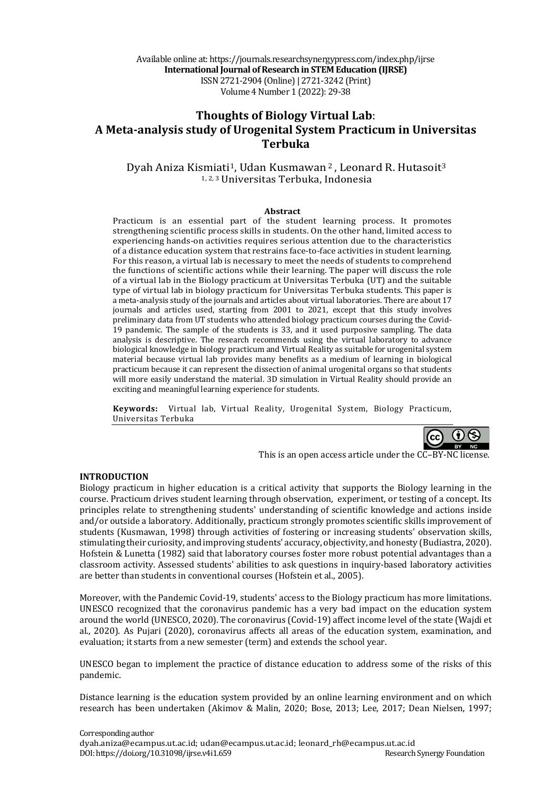Available online at: https://journals.researchsynergypress.com/index.php/ijrse **International Journal of Research in STEM Education (IJRSE)** ISSN 2721-2904 (Online)| 2721-3242 (Print) Volume 4 Number 1 (2022): 29-38

# **Thoughts of Biology Virtual Lab**: **A Meta-analysis study of Urogenital System Practicum in Universitas Terbuka**

Dyah Aniza Kismiati<sup>1</sup>, Udan Kusmawan<sup>2</sup>, Leonard R. Hutasoit<sup>3</sup> 1, 2, 3 Universitas Terbuka, Indonesia

#### **Abstract**

Practicum is an essential part of the student learning process. It promotes strengthening scientific process skills in students. On the other hand, limited access to experiencing hands-on activities requires serious attention due to the characteristics of a distance education system that restrains face-to-face activities in student learning. For this reason, a virtual lab is necessary to meet the needs of students to comprehend the functions of scientific actions while their learning. The paper will discuss the role of a virtual lab in the Biology practicum at Universitas Terbuka (UT) and the suitable type of virtual lab in biology practicum for Universitas Terbuka students. This paper is a meta-analysis study of the journals and articles about virtual laboratories. There are about 17 journals and articles used, starting from 2001 to 2021, except that this study involves preliminary data from UT students who attended biology practicum courses during the Covid-19 pandemic. The sample of the students is 33, and it used purposive sampling. The data analysis is descriptive. The research recommends using the virtual laboratory to advance biological knowledge in biology practicum and Virtual Reality as suitable for urogenital system material because virtual lab provides many benefits as a medium of learning in biological practicum because it can represent the dissection of animal urogenital organs so that students will more easily understand the material. 3D simulation in Virtual Reality should provide an exciting and meaningful learning experience for students.

**Keywords:** Virtual lab, Virtual Reality, Urogenital System, Biology Practicum, Universitas Terbuka



This is an open access article under the  $C$  $-$ BY-NC license.

#### **INTRODUCTION**

Biology practicum in higher education is a critical activity that supports the Biology learning in the course. Practicum drives student learning through observation, experiment, or testing of a concept. Its principles relate to strengthening students' understanding of scientific knowledge and actions inside and/or outside a laboratory. Additionally, practicum strongly promotes scientific skills improvement of students (Kusmawan, 1998) through activities of fostering or increasing students' observation skills, stimulating their curiosity, and improving students' accuracy, objectivity, and honesty (Budiastra, 2020). Hofstein & Lunetta (1982) said that laboratory courses foster more robust potential advantages than a classroom activity. Assessed students' abilities to ask questions in inquiry-based laboratory activities are better than students in conventional courses (Hofstein et al., 2005).

Moreover, with the Pandemic Covid-19, students' access to the Biology practicum has more limitations. UNESCO recognized that the coronavirus pandemic has a very bad impact on the education system around the world (UNESCO, 2020). The coronavirus (Covid-19) affect income level of the state (Wajdi et al., 2020). As Pujari (2020), coronavirus affects all areas of the education system, examination, and evaluation; it starts from a new semester (term) and extends the school year.

UNESCO began to implement the practice of distance education to address some of the risks of this pandemic.

Distance learning is the education system provided by an online learning environment and on which research has been undertaken (Akimov & Malin, 2020; Bose, 2013; Lee, 2017; Dean Nielsen, 1997;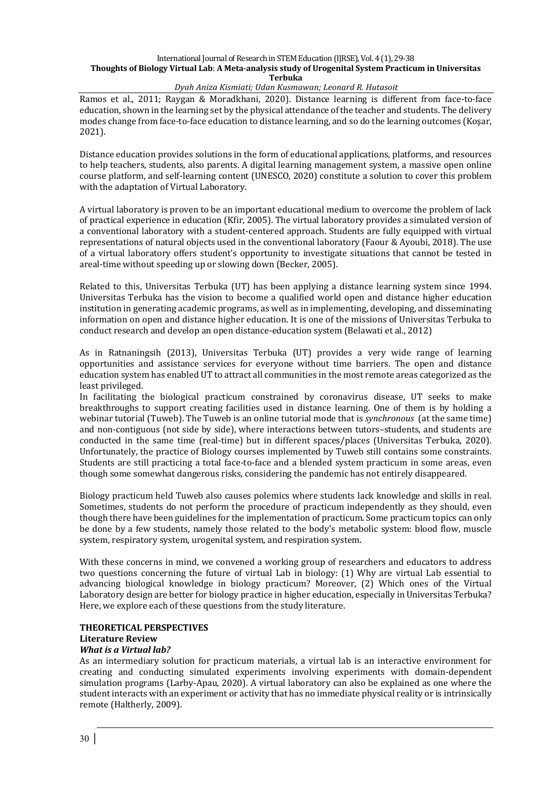### *Dyah Aniza Kismiati; Udan Kusmawan; Leonard R. Hutasoit*

Ramos et al., 2011; Raygan & Moradkhani, 2020). Distance learning is different from face-to-face education, shown in the learning set by the physical attendance of the teacher and students. The delivery modes change from face-to-face education to distance learning, and so do the learning outcomes (Kosar, 2021). 

Distance education provides solutions in the form of educational applications, platforms, and resources to help teachers, students, also parents. A digital learning management system, a massive open online course platform, and self-learning content (UNESCO, 2020) constitute a solution to cover this problem with the adaptation of Virtual Laboratory.

A virtual laboratory is proven to be an important educational medium to overcome the problem of lack of practical experience in education (Kfir, 2005). The virtual laboratory provides a simulated version of a conventional laboratory with a student-centered approach. Students are fully equipped with virtual representations of natural objects used in the conventional laboratory (Faour & Ayoubi, 2018). The use of a virtual laboratory offers student's opportunity to investigate situations that cannot be tested in areal-time without speeding up or slowing down (Becker, 2005).

Related to this, Universitas Terbuka (UT) has been applying a distance learning system since 1994. Universitas Terbuka has the vision to become a qualified world open and distance higher education institution in generating academic programs, as well as in implementing, developing, and disseminating information on open and distance higher education. It is one of the missions of Universitas Terbuka to conduct research and develop an open distance-education system (Belawati et al., 2012)

As in Ratnaningsih (2013), Universitas Terbuka (UT) provides a very wide range of learning opportunities and assistance services for everyone without time barriers. The open and distance education system has enabled UT to attract all communities in the most remote areas categorized as the least privileged.

In facilitating the biological practicum constrained by coronavirus disease, UT seeks to make breakthroughs to support creating facilities used in distance learning. One of them is by holding a webinar tutorial (Tuweb). The Tuweb is an online tutorial mode that is *synchronous* (at the same time) and non-contiguous (not side by side), where interactions between tutors–students, and students are conducted in the same time (real-time) but in different spaces/places (Universitas Terbuka, 2020). Unfortunately, the practice of Biology courses implemented by Tuweb still contains some constraints. Students are still practicing a total face-to-face and a blended system practicum in some areas, even though some somewhat dangerous risks, considering the pandemic has not entirely disappeared.

Biology practicum held Tuweb also causes polemics where students lack knowledge and skills in real. Sometimes, students do not perform the procedure of practicum independently as they should, even though there have been guidelines for the implementation of practicum. Some practicum topics can only be done by a few students, namely those related to the body's metabolic system: blood flow, muscle system, respiratory system, urogenital system, and respiration system.

With these concerns in mind, we convened a working group of researchers and educators to address two questions concerning the future of virtual Lab in biology:  $(1)$  Why are virtual Lab essential to advancing biological knowledge in biology practicum? Moreover, (2) Which ones of the Virtual Laboratory design are better for biology practice in higher education, especially in Universitas Terbuka? Here, we explore each of these questions from the study literature.

# **THEORETICAL PERSPECTIVES**

# **Literature Review**

# *What is a Virtual lab?*

As an intermediary solution for practicum materials, a virtual lab is an interactive environment for creating and conducting simulated experiments involving experiments with domain-dependent simulation programs (Larby-Apau, 2020). A virtual laboratory can also be explained as one where the student interacts with an experiment or activity that has no immediate physical reality or is intrinsically remote (Haltherly, 2009).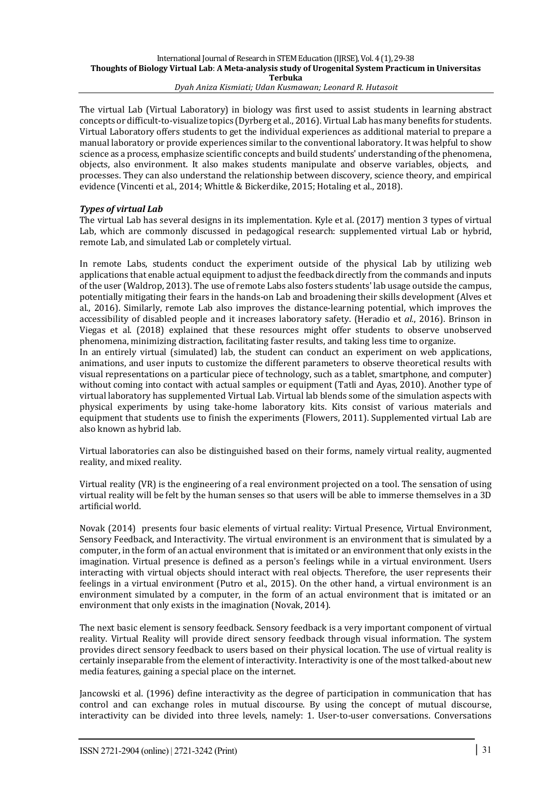The virtual Lab (Virtual Laboratory) in biology was first used to assist students in learning abstract concepts or difficult-to-visualize topics (Dyrberg et al., 2016). Virtual Lab has many benefits for students. Virtual Laboratory offers students to get the individual experiences as additional material to prepare a manual laboratory or provide experiences similar to the conventional laboratory. It was helpful to show science as a process, emphasize scientific concepts and build students' understanding of the phenomena, objects, also environment. It also makes students manipulate and observe variables, objects, and processes. They can also understand the relationship between discovery, science theory, and empirical evidence (Vincenti et al., 2014; Whittle & Bickerdike, 2015; Hotaling et al., 2018).

# **Types of virtual Lab**

The virtual Lab has several designs in its implementation. Kyle et al. (2017) mention 3 types of virtual Lab, which are commonly discussed in pedagogical research: supplemented virtual Lab or hybrid, remote Lab, and simulated Lab or completely virtual.

In remote Labs, students conduct the experiment outside of the physical Lab by utilizing web applications that enable actual equipment to adjust the feedback directly from the commands and inputs of the user (Waldrop, 2013). The use of remote Labs also fosters students' lab usage outside the campus, potentially mitigating their fears in the hands-on Lab and broadening their skills development (Alves et al., 2016). Similarly, remote Lab also improves the distance-learning potential, which improves the accessibility of disabled people and it increases laboratory safety. (Heradio et *al.*, 2016). Brinson in Viegas et al. (2018) explained that these resources might offer students to observe unobserved phenomena, minimizing distraction, facilitating faster results, and taking less time to organize.

In an entirely virtual (simulated) lab, the student can conduct an experiment on web applications, animations, and user inputs to customize the different parameters to observe theoretical results with visual representations on a particular piece of technology, such as a tablet, smartphone, and computer) without coming into contact with actual samples or equipment (Tatli and Ayas, 2010). Another type of virtual laboratory has supplemented Virtual Lab. Virtual lab blends some of the simulation aspects with physical experiments by using take-home laboratory kits. Kits consist of various materials and equipment that students use to finish the experiments (Flowers, 2011). Supplemented virtual Lab are also known as hybrid lab.

Virtual laboratories can also be distinguished based on their forms, namely virtual reality, augmented reality, and mixed reality.

Virtual reality  $(VR)$  is the engineering of a real environment projected on a tool. The sensation of using virtual reality will be felt by the human senses so that users will be able to immerse themselves in a 3D artificial world. 

Novak (2014) presents four basic elements of virtual reality: Virtual Presence, Virtual Environment, Sensory Feedback, and Interactivity. The virtual environment is an environment that is simulated by a computer, in the form of an actual environment that is imitated or an environment that only exists in the imagination. Virtual presence is defined as a person's feelings while in a virtual environment. Users interacting with virtual objects should interact with real objects. Therefore, the user represents their feelings in a virtual environment (Putro et al., 2015). On the other hand, a virtual environment is an environment simulated by a computer, in the form of an actual environment that is imitated or an environment that only exists in the imagination (Novak, 2014).

The next basic element is sensory feedback. Sensory feedback is a very important component of virtual reality. Virtual Reality will provide direct sensory feedback through visual information. The system provides direct sensory feedback to users based on their physical location. The use of virtual reality is certainly inseparable from the element of interactivity. Interactivity is one of the most talked-about new media features, gaining a special place on the internet.

Jancowski et al. (1996) define interactivity as the degree of participation in communication that has control and can exchange roles in mutual discourse. By using the concept of mutual discourse, interactivity can be divided into three levels, namely: 1. User-to-user conversations. Conversations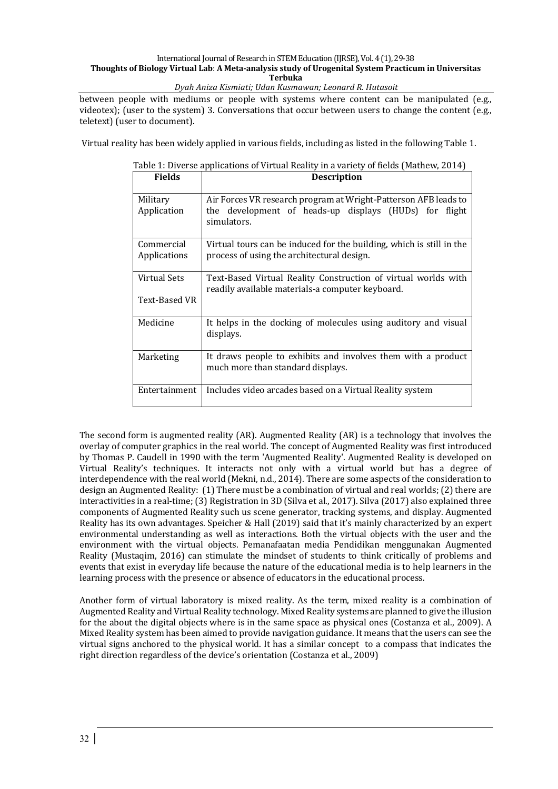*Dyah Aniza Kismiati; Udan Kusmawan; Leonard R. Hutasoit*

between people with mediums or people with systems where content can be manipulated  $(e.g.,\)$ videotex); (user to the system) 3. Conversations that occur between users to change the content (e.g., teletext) (user to document).

Virtual reality has been widely applied in various fields, including as listed in the following Table 1.

| <b>Fields</b>                 | <b>Description</b>                                                                                                                       |
|-------------------------------|------------------------------------------------------------------------------------------------------------------------------------------|
| Military<br>Application       | Air Forces VR research program at Wright-Patterson AFB leads to<br>the development of heads-up displays (HUDs) for flight<br>simulators. |
| Commercial<br>Applications    | Virtual tours can be induced for the building, which is still in the<br>process of using the architectural design.                       |
| Virtual Sets<br>Text-Based VR | Text-Based Virtual Reality Construction of virtual worlds with<br>readily available materials-a computer keyboard.                       |
| Medicine                      | It helps in the docking of molecules using auditory and visual<br>displays.                                                              |
| Marketing                     | It draws people to exhibits and involves them with a product<br>much more than standard displays.                                        |
| Entertainment                 | Includes video arcades based on a Virtual Reality system                                                                                 |

#### Table 1: Diverse applications of Virtual Reality in a variety of fields (Mathew, 2014)

The second form is augmented reality (AR). Augmented Reality (AR) is a technology that involves the overlay of computer graphics in the real world. The concept of Augmented Reality was first introduced by Thomas P. Caudell in 1990 with the term 'Augmented Reality'. Augmented Reality is developed on Virtual Reality's techniques. It interacts not only with a virtual world but has a degree of interdependence with the real world (Mekni, n.d., 2014). There are some aspects of the consideration to design an Augmented Reality: (1) There must be a combination of virtual and real worlds; (2) there are interactivities in a real-time; (3) Registration in 3D (Silva et al., 2017). Silva (2017) also explained three components of Augmented Reality such us scene generator, tracking systems, and display. Augmented Reality has its own advantages. Speicher & Hall (2019) said that it's mainly characterized by an expert environmental understanding as well as interactions. Both the virtual objects with the user and the environment with the virtual objects. Pemanafaatan media Pendidikan menggunakan Augmented Reality (Mustaqim, 2016) can stimulate the mindset of students to think critically of problems and events that exist in everyday life because the nature of the educational media is to help learners in the learning process with the presence or absence of educators in the educational process.

Another form of virtual laboratory is mixed reality. As the term, mixed reality is a combination of Augmented Reality and Virtual Reality technology. Mixed Reality systems are planned to give the illusion for the about the digital objects where is in the same space as physical ones (Costanza et al., 2009). A Mixed Reality system has been aimed to provide navigation guidance. It means that the users can see the virtual signs anchored to the physical world. It has a similar concept to a compass that indicates the right direction regardless of the device's orientation (Costanza et al., 2009)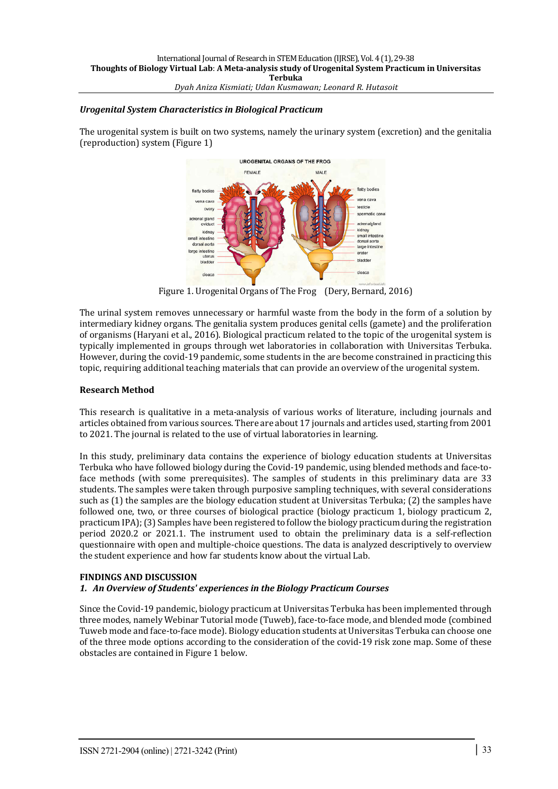### *Urogenital System Characteristics in Biological Practicum*

The urogenital system is built on two systems, namely the urinary system (excretion) and the genitalia (reproduction) system (Figure 1)



Figure 1. Urogenital Organs of The Frog (Dery, Bernard, 2016)

The urinal system removes unnecessary or harmful waste from the body in the form of a solution by intermediary kidney organs. The genitalia system produces genital cells (gamete) and the proliferation of organisms (Haryani et al., 2016). Biological practicum related to the topic of the urogenital system is typically implemented in groups through wet laboratories in collaboration with Universitas Terbuka. However, during the covid-19 pandemic, some students in the are become constrained in practicing this topic, requiring additional teaching materials that can provide an overview of the urogenital system.

### **Research Method**

This research is qualitative in a meta-analysis of various works of literature, including journals and articles obtained from various sources. There are about 17 journals and articles used, starting from 2001 to 2021. The journal is related to the use of virtual laboratories in learning.

In this study, preliminary data contains the experience of biology education students at Universitas Terbuka who have followed biology during the Covid-19 pandemic, using blended methods and face-toface methods (with some prerequisites). The samples of students in this preliminary data are 33 students. The samples were taken through purposive sampling techniques, with several considerations such as (1) the samples are the biology education student at Universitas Terbuka; (2) the samples have followed one, two, or three courses of biological practice (biology practicum 1, biology practicum 2, practicum IPA); (3) Samples have been registered to follow the biology practicum during the registration period 2020.2 or 2021.1. The instrument used to obtain the preliminary data is a self-reflection questionnaire with open and multiple-choice questions. The data is analyzed descriptively to overview the student experience and how far students know about the virtual Lab.

# **FINDINGS AND DISCUSSION**

# 1. An Overview of Students' experiences in the Biology Practicum Courses

Since the Covid-19 pandemic, biology practicum at Universitas Terbuka has been implemented through three modes, namely Webinar Tutorial mode (Tuweb), face-to-face mode, and blended mode (combined Tuweb mode and face-to-face mode). Biology education students at Universitas Terbuka can choose one of the three mode options according to the consideration of the covid-19 risk zone map. Some of these obstacles are contained in Figure 1 below.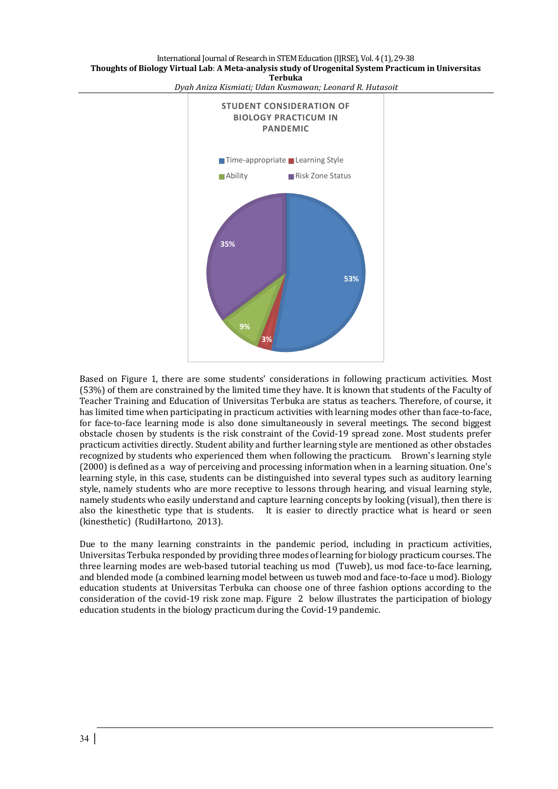

*Dyah Aniza Kismiati; Udan Kusmawan; Leonard R. Hutasoit*

Based on Figure 1, there are some students' considerations in following practicum activities. Most (53%) of them are constrained by the limited time they have. It is known that students of the Faculty of Teacher Training and Education of Universitas Terbuka are status as teachers. Therefore, of course, it has limited time when participating in practicum activities with learning modes other than face-to-face, for face-to-face learning mode is also done simultaneously in several meetings. The second biggest obstacle chosen by students is the risk constraint of the Covid-19 spread zone. Most students prefer practicum activities directly. Student ability and further learning style are mentioned as other obstacles recognized by students who experienced them when following the practicum. Brown's learning style  $(2000)$  is defined as a way of perceiving and processing information when in a learning situation. One's learning style, in this case, students can be distinguished into several types such as auditory learning style, namely students who are more receptive to lessons through hearing, and visual learning style, namely students who easily understand and capture learning concepts by looking (visual), then there is also the kinesthetic type that is students. It is easier to directly practice what is heard or seen (kinesthetic) (RudiHartono, 2013).

Due to the many learning constraints in the pandemic period, including in practicum activities, Universitas Terbuka responded by providing three modes of learning for biology practicum courses. The three learning modes are web-based tutorial teaching us mod (Tuweb), us mod face-to-face learning, and blended mode (a combined learning model between us tuweb mod and face-to-face u mod). Biology education students at Universitas Terbuka can choose one of three fashion options according to the consideration of the covid-19 risk zone map. Figure 2 below illustrates the participation of biology education students in the biology practicum during the Covid-19 pandemic.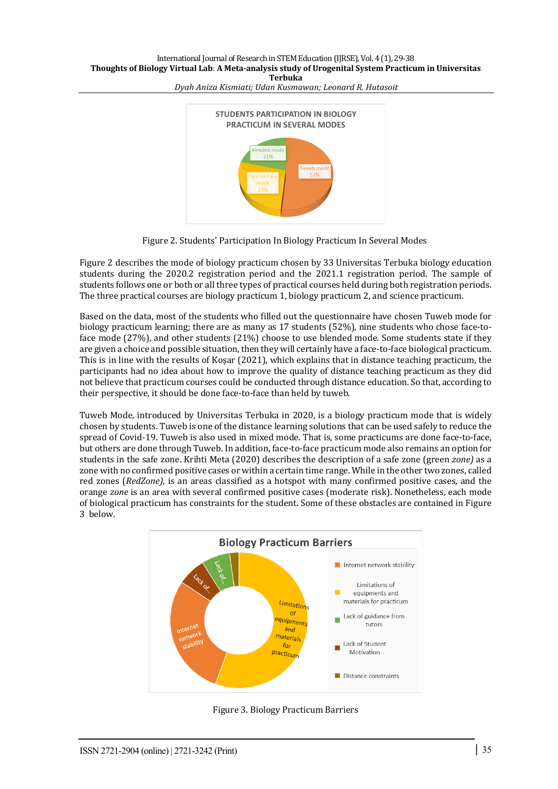

*Dyah Aniza Kismiati; Udan Kusmawan; Leonard R. Hutasoit*

Figure 2. Students' Participation In Biology Practicum In Several Modes

Figure 2 describes the mode of biology practicum chosen by 33 Universitas Terbuka biology education students during the 2020.2 registration period and the 2021.1 registration period. The sample of students follows one or both or all three types of practical courses held during both registration periods. The three practical courses are biology practicum 1, biology practicum 2, and science practicum.

Based on the data, most of the students who filled out the questionnaire have chosen Tuweb mode for biology practicum learning; there are as many as 17 students (52%), nine students who chose face-toface mode (27%), and other students (21%) choose to use blended mode. Some students state if they are given a choice and possible situation, then they will certainly have a face-to-face biological practicum. This is in line with the results of Kosar  $(2021)$ , which explains that in distance teaching practicum, the participants had no idea about how to improve the quality of distance teaching practicum as they did not believe that practicum courses could be conducted through distance education. So that, according to their perspective, it should be done face-to-face than held by tuweb.

Tuweb Mode, introduced by Universitas Terbuka in 2020, is a biology practicum mode that is widely chosen by students. Tuweb is one of the distance learning solutions that can be used safely to reduce the spread of Covid-19. Tuweb is also used in mixed mode. That is, some practicums are done face-to-face, but others are done through Tuweb. In addition, face-to-face practicum mode also remains an option for students in the safe zone. Krihti Meta (2020) describes the description of a safe zone (green *zone*) as a zone with no confirmed positive cases or within a certain time range. While in the other two zones, called red zones (*RedZone*), is an areas classified as a hotspot with many confirmed positive cases, and the orange zone is an area with several confirmed positive cases (moderate risk). Nonetheless, each mode of biological practicum has constraints for the student. Some of these obstacles are contained in Figure 3 below.



Figure 3. Biology Practicum Barriers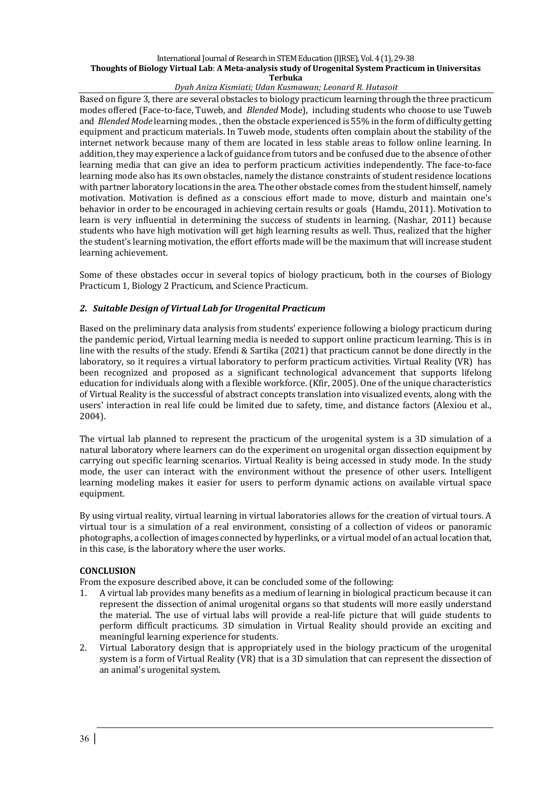### *Dyah Aniza Kismiati; Udan Kusmawan; Leonard R. Hutasoit*

Based on figure 3, there are several obstacles to biology practicum learning through the three practicum modes offered (Face-to-face, Tuweb, and *Blended* Mode), including students who choose to use Tuweb and *Blended Mode* learning modes. then the obstacle experienced is 55% in the form of difficulty getting equipment and practicum materials. In Tuweb mode, students often complain about the stability of the internet network because many of them are located in less stable areas to follow online learning. In addition, they may experience a lack of guidance from tutors and be confused due to the absence of other learning media that can give an idea to perform practicum activities independently. The face-to-face learning mode also has its own obstacles, namely the distance constraints of student residence locations with partner laboratory locations in the area. The other obstacle comes from the student himself, namely motivation. Motivation is defined as a conscious effort made to move, disturb and maintain one's behavior in order to be encouraged in achieving certain results or goals (Hamdu, 2011). Motivation to learn is very influential in determining the success of students in learning. (Nashar, 2011) because students who have high motivation will get high learning results as well. Thus, realized that the higher the student's learning motivation, the effort efforts made will be the maximum that will increase student learning achievement.

Some of these obstacles occur in several topics of biology practicum, both in the courses of Biology Practicum 1, Biology 2 Practicum, and Science Practicum.

#### *2. Suitable Design of Virtual Lab for Urogenital Practicum*

Based on the preliminary data analysis from students' experience following a biology practicum during the pandemic period, Virtual learning media is needed to support online practicum learning. This is in line with the results of the study. Efendi & Sartika (2021) that practicum cannot be done directly in the laboratory, so it requires a virtual laboratory to perform practicum activities. Virtual Reality (VR) has been recognized and proposed as a significant technological advancement that supports lifelong education for individuals along with a flexible workforce. (Kfir, 2005). One of the unique characteristics of Virtual Reality is the successful of abstract concepts translation into visualized events, along with the users' interaction in real life could be limited due to safety, time, and distance factors (Alexiou et al., 2004).

The virtual lab planned to represent the practicum of the urogenital system is a 3D simulation of a natural laboratory where learners can do the experiment on urogenital organ dissection equipment by carrying out specific learning scenarios. Virtual Reality is being accessed in study mode. In the study mode, the user can interact with the environment without the presence of other users. Intelligent learning modeling makes it easier for users to perform dynamic actions on available virtual space equipment. 

By using virtual reality, virtual learning in virtual laboratories allows for the creation of virtual tours. A virtual tour is a simulation of a real environment, consisting of a collection of videos or panoramic photographs, a collection of images connected by hyperlinks, or a virtual model of an actual location that, in this case, is the laboratory where the user works.

#### **CONCLUSION**

From the exposure described above, it can be concluded some of the following:

- 1. A virtual lab provides many benefits as a medium of learning in biological practicum because it can represent the dissection of animal urogenital organs so that students will more easily understand the material. The use of virtual labs will provide a real-life picture that will guide students to perform difficult practicums. 3D simulation in Virtual Reality should provide an exciting and meaningful learning experience for students.
- 2. Virtual Laboratory design that is appropriately used in the biology practicum of the urogenital system is a form of Virtual Reality (VR) that is a 3D simulation that can represent the dissection of an animal's urogenital system.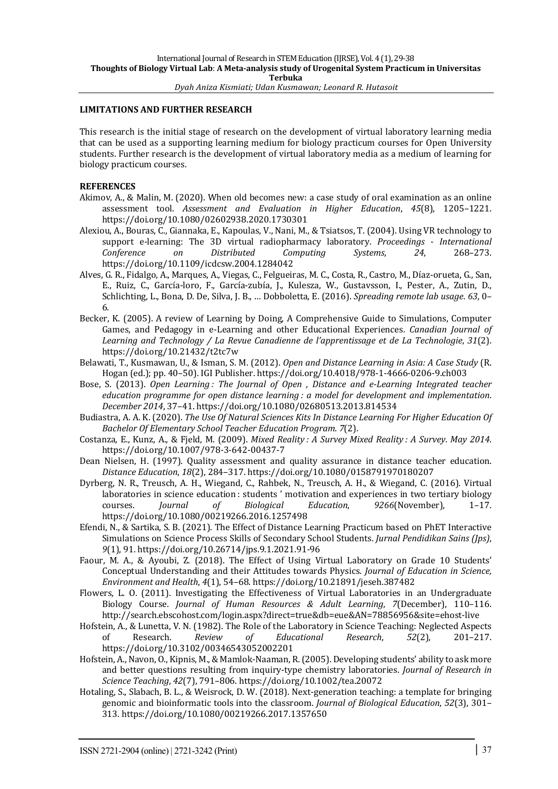#### **LIMITATIONS AND FURTHER RESEARCH**

This research is the initial stage of research on the development of virtual laboratory learning media that can be used as a supporting learning medium for biology practicum courses for Open University students. Further research is the development of virtual laboratory media as a medium of learning for biology practicum courses.

#### **REFERENCES**

- Akimov, A., & Malin, M. (2020). When old becomes new: a case study of oral examination as an online assessment tool. Assessment and Evaluation in Higher Education, 45(8), 1205-1221. https://doi.org/10.1080/02602938.2020.1730301
- Alexiou, A., Bouras, C., Giannaka, E., Kapoulas, V., Nani, M., & Tsiatsos, T. (2004). Using VR technology to support e-learning: The 3D virtual radiopharmacy laboratory. *Proceedings - International Conference on Distributed Computing Systems*, *24*, 268–273. https://doi.org/10.1109/icdcsw.2004.1284042
- Alves, G. R., Fidalgo, A., Marques, A., Viegas, C., Felgueiras, M. C., Costa, R., Castro, M., Díaz-orueta, G., San, E., Ruiz, C., García-loro, F., García-zubía, J., Kulesza, W., Gustavsson, I., Pester, A., Zutin, D., Schlichting, L., Bona, D. De, Silva, J. B., ... Dobboletta, E. (2016). *Spreading remote lab usage.* 63, 0– 6.
- Becker, K. (2005). A review of Learning by Doing, A Comprehensive Guide to Simulations, Computer Games, and Pedagogy in e-Learning and other Educational Experiences. *Canadian Journal of Learning* and Technology / La Revue Canadienne de l'apprentissage et de La Technologie, 31(2). https://doi.org/10.21432/t2tc7w
- Belawati, T., Kusmawan, U., & Isman, S. M. (2012). Open and Distance Learning in Asia: A Case Study (R. Hogan (ed.); pp. 40-50). IGI Publisher. https://doi.org/10.4018/978-1-4666-0206-9.ch003
- Bose, S. (2013). *Open Learning*: The Journal of Open, Distance and e-Learning Integrated teacher *education programme for open distance learning* : a model for development and implementation. *December 2014*, 37–41. https://doi.org/10.1080/02680513.2013.814534
- Budiastra, A. A. K. (2020). *The Use Of Natural Sciences Kits In Distance Learning For Higher Education Of Bachelor Of Elementary School Teacher Education Program*. *7*(2).
- Costanza, E., Kunz, A., & Fjeld, M. (2009). *Mixed Reality* : A Survey Mixed Reality : A Survey. May 2014. https://doi.org/10.1007/978-3-642-00437-7
- Dean Nielsen, H. (1997). Quality assessment and quality assurance in distance teacher education. *Distance Education*, *18*(2), 284–317. https://doi.org/10.1080/0158791970180207
- Dyrberg, N. R., Treusch, A. H., Wiegand, C., Rahbek, N., Treusch, A. H., & Wiegand, C. (2016). Virtual laboratories in science education : students ' motivation and experiences in two tertiary biology courses. *Journal of Biological Education*, *9266*(November), 1–17. https://doi.org/10.1080/00219266.2016.1257498
- Efendi, N., & Sartika, S. B. (2021). The Effect of Distance Learning Practicum based on PhET Interactive Simulations on Science Process Skills of Secondary School Students. Jurnal Pendidikan Sains (Jps), *9*(1), 91. https://doi.org/10.26714/jps.9.1.2021.91-96
- Faour, M. A., & Ayoubi, Z. (2018). The Effect of Using Virtual Laboratory on Grade 10 Students' Conceptual Understanding and their Attitudes towards Physics. *Journal of Education in Science*, *Environment and Health,* 4(1), 54-68. https://doi.org/10.21891/jeseh.387482
- Flowers, L. O. (2011). Investigating the Effectiveness of Virtual Laboratories in an Undergraduate Biology Course. *Journal of Human Resources & Adult Learning*, *7*(December), 110–116. http://search.ebscohost.com/login.aspx?direct=true&db=eue&AN=78856956&site=ehost-live
- Hofstein, A., & Lunetta, V. N. (1982). The Role of the Laboratory in Science Teaching: Neglected Aspects of Research. *Review of Educational Research*, *52*(2), 201–217. https://doi.org/10.3102/00346543052002201
- Hofstein, A., Navon, O., Kipnis, M., & Mamlok-Naaman, R. (2005). Developing students' ability to ask more and better questions resulting from inquiry-type chemistry laboratories. *Journal of Research in Science Teaching*, *42*(7), 791–806. https://doi.org/10.1002/tea.20072
- Hotaling, S., Slabach, B. L., & Weisrock, D. W. (2018). Next-generation teaching: a template for bringing genomic and bioinformatic tools into the classroom. *Journal of Biological Education*, *52*(3), 301– 313. https://doi.org/10.1080/00219266.2017.1357650